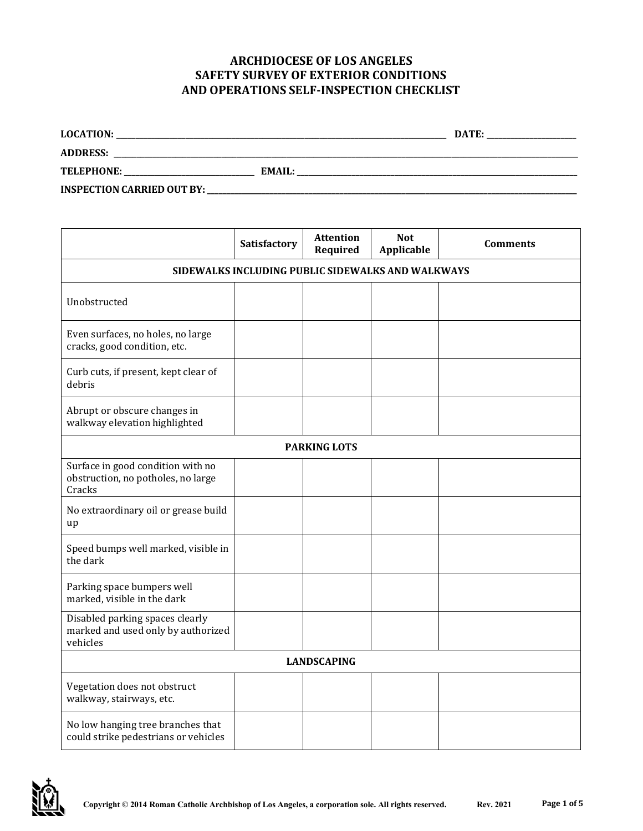## **ARCHDIOCESE OF LOS ANGELES SAFETY SURVEY OF EXTERIOR CONDITIONS AND OPERATIONS SELF-INSPECTION CHECKLIST**

| <b>LOCATION:</b>                  |               | DATE: |
|-----------------------------------|---------------|-------|
| <b>ADDRESS:</b>                   |               |       |
| <b>TELEPHONE:</b>                 | <b>EMAIL:</b> |       |
| <b>INSPECTION CARRIED OUT BY:</b> |               |       |

|                                                                                   | Satisfactory                                      | <b>Attention</b><br>Required | <b>Not</b><br><b>Applicable</b> | <b>Comments</b> |  |
|-----------------------------------------------------------------------------------|---------------------------------------------------|------------------------------|---------------------------------|-----------------|--|
|                                                                                   | SIDEWALKS INCLUDING PUBLIC SIDEWALKS AND WALKWAYS |                              |                                 |                 |  |
| Unobstructed                                                                      |                                                   |                              |                                 |                 |  |
| Even surfaces, no holes, no large<br>cracks, good condition, etc.                 |                                                   |                              |                                 |                 |  |
| Curb cuts, if present, kept clear of<br>debris                                    |                                                   |                              |                                 |                 |  |
| Abrupt or obscure changes in<br>walkway elevation highlighted                     |                                                   |                              |                                 |                 |  |
|                                                                                   |                                                   | <b>PARKING LOTS</b>          |                                 |                 |  |
| Surface in good condition with no<br>obstruction, no potholes, no large<br>Cracks |                                                   |                              |                                 |                 |  |
| No extraordinary oil or grease build<br>up                                        |                                                   |                              |                                 |                 |  |
| Speed bumps well marked, visible in<br>the dark                                   |                                                   |                              |                                 |                 |  |
| Parking space bumpers well<br>marked, visible in the dark                         |                                                   |                              |                                 |                 |  |
| Disabled parking spaces clearly<br>marked and used only by authorized<br>vehicles |                                                   |                              |                                 |                 |  |
| <b>LANDSCAPING</b>                                                                |                                                   |                              |                                 |                 |  |
| Vegetation does not obstruct<br>walkway, stairways, etc.                          |                                                   |                              |                                 |                 |  |
| No low hanging tree branches that<br>could strike pedestrians or vehicles         |                                                   |                              |                                 |                 |  |

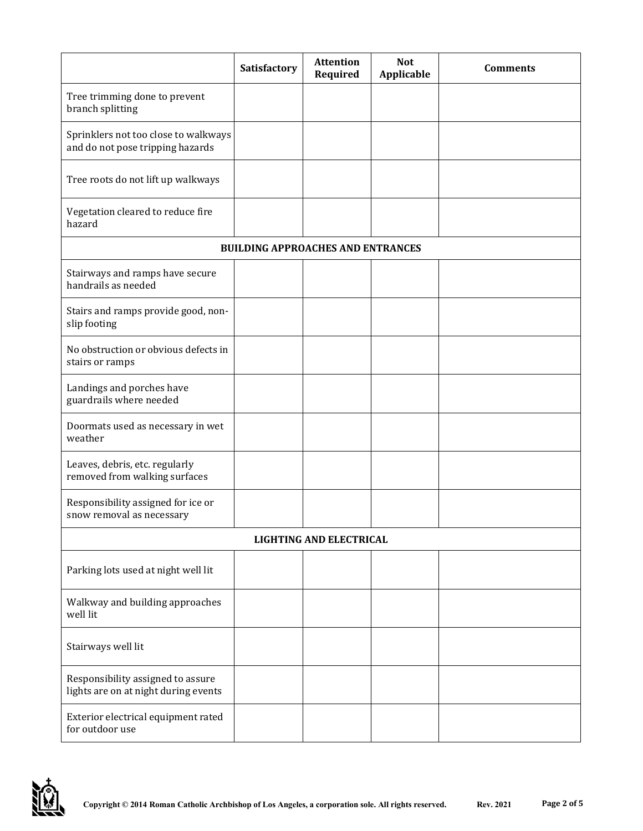|                                                                           | Satisfactory                             | <b>Attention</b><br>Required | <b>Not</b><br>Applicable | <b>Comments</b> |  |
|---------------------------------------------------------------------------|------------------------------------------|------------------------------|--------------------------|-----------------|--|
| Tree trimming done to prevent<br>branch splitting                         |                                          |                              |                          |                 |  |
| Sprinklers not too close to walkways<br>and do not pose tripping hazards  |                                          |                              |                          |                 |  |
| Tree roots do not lift up walkways                                        |                                          |                              |                          |                 |  |
| Vegetation cleared to reduce fire<br>hazard                               |                                          |                              |                          |                 |  |
|                                                                           | <b>BUILDING APPROACHES AND ENTRANCES</b> |                              |                          |                 |  |
| Stairways and ramps have secure<br>handrails as needed                    |                                          |                              |                          |                 |  |
| Stairs and ramps provide good, non-<br>slip footing                       |                                          |                              |                          |                 |  |
| No obstruction or obvious defects in<br>stairs or ramps                   |                                          |                              |                          |                 |  |
| Landings and porches have<br>guardrails where needed                      |                                          |                              |                          |                 |  |
| Doormats used as necessary in wet<br>weather                              |                                          |                              |                          |                 |  |
| Leaves, debris, etc. regularly<br>removed from walking surfaces           |                                          |                              |                          |                 |  |
| Responsibility assigned for ice or<br>snow removal as necessary           |                                          |                              |                          |                 |  |
| <b>LIGHTING AND ELECTRICAL</b>                                            |                                          |                              |                          |                 |  |
| Parking lots used at night well lit                                       |                                          |                              |                          |                 |  |
| Walkway and building approaches<br>well lit                               |                                          |                              |                          |                 |  |
| Stairways well lit                                                        |                                          |                              |                          |                 |  |
| Responsibility assigned to assure<br>lights are on at night during events |                                          |                              |                          |                 |  |
| Exterior electrical equipment rated<br>for outdoor use                    |                                          |                              |                          |                 |  |

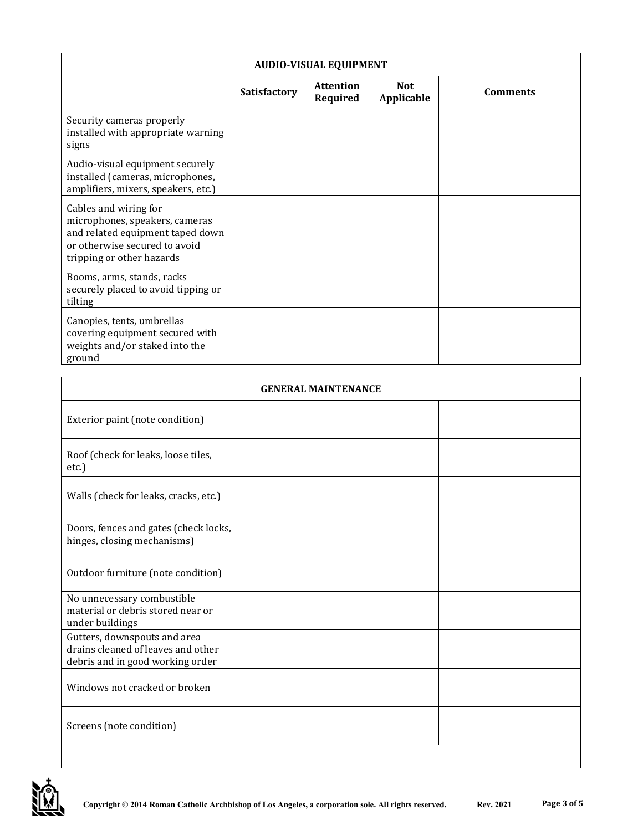| <b>AUDIO-VISUAL EQUIPMENT</b>                                                                                                                             |              |                              |                                 |                 |
|-----------------------------------------------------------------------------------------------------------------------------------------------------------|--------------|------------------------------|---------------------------------|-----------------|
|                                                                                                                                                           | Satisfactory | <b>Attention</b><br>Required | <b>Not</b><br><b>Applicable</b> | <b>Comments</b> |
| Security cameras properly<br>installed with appropriate warning<br>signs                                                                                  |              |                              |                                 |                 |
| Audio-visual equipment securely<br>installed (cameras, microphones,<br>amplifiers, mixers, speakers, etc.)                                                |              |                              |                                 |                 |
| Cables and wiring for<br>microphones, speakers, cameras<br>and related equipment taped down<br>or otherwise secured to avoid<br>tripping or other hazards |              |                              |                                 |                 |
| Booms, arms, stands, racks<br>securely placed to avoid tipping or<br>tilting                                                                              |              |                              |                                 |                 |
| Canopies, tents, umbrellas<br>covering equipment secured with<br>weights and/or staked into the<br>ground                                                 |              |                              |                                 |                 |

| <b>GENERAL MAINTENANCE</b>                                                                             |  |  |  |  |
|--------------------------------------------------------------------------------------------------------|--|--|--|--|
| Exterior paint (note condition)                                                                        |  |  |  |  |
| Roof (check for leaks, loose tiles,<br>etc.)                                                           |  |  |  |  |
| Walls (check for leaks, cracks, etc.)                                                                  |  |  |  |  |
| Doors, fences and gates (check locks,<br>hinges, closing mechanisms)                                   |  |  |  |  |
| Outdoor furniture (note condition)                                                                     |  |  |  |  |
| No unnecessary combustible<br>material or debris stored near or<br>under buildings                     |  |  |  |  |
| Gutters, downspouts and area<br>drains cleaned of leaves and other<br>debris and in good working order |  |  |  |  |
| Windows not cracked or broken                                                                          |  |  |  |  |
| Screens (note condition)                                                                               |  |  |  |  |
|                                                                                                        |  |  |  |  |

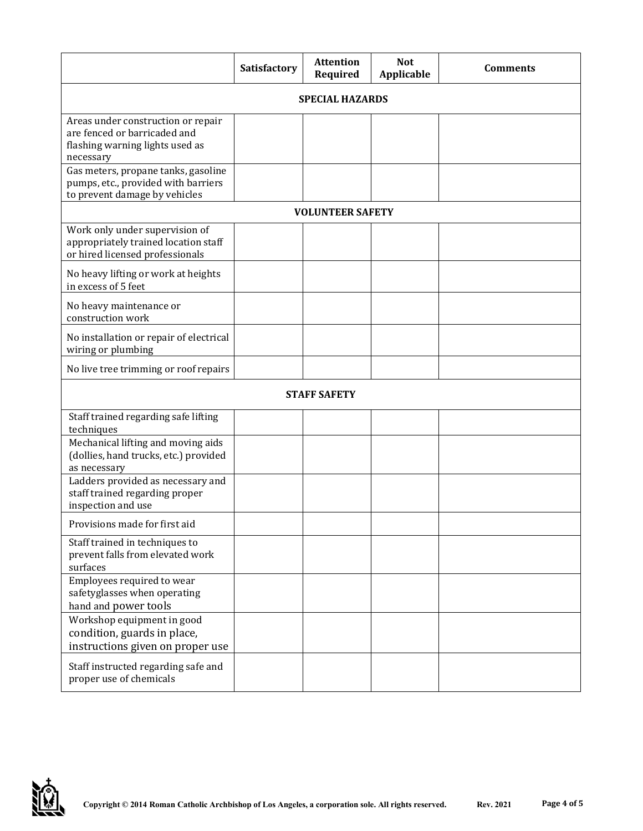|                                                                                                                    | <b>Satisfactory</b>    | <b>Attention</b><br>Required | <b>Not</b><br><b>Applicable</b> | <b>Comments</b> |
|--------------------------------------------------------------------------------------------------------------------|------------------------|------------------------------|---------------------------------|-----------------|
|                                                                                                                    | <b>SPECIAL HAZARDS</b> |                              |                                 |                 |
| Areas under construction or repair<br>are fenced or barricaded and<br>flashing warning lights used as<br>necessary |                        |                              |                                 |                 |
| Gas meters, propane tanks, gasoline<br>pumps, etc., provided with barriers<br>to prevent damage by vehicles        |                        |                              |                                 |                 |
|                                                                                                                    |                        | <b>VOLUNTEER SAFETY</b>      |                                 |                 |
| Work only under supervision of<br>appropriately trained location staff<br>or hired licensed professionals          |                        |                              |                                 |                 |
| No heavy lifting or work at heights<br>in excess of 5 feet                                                         |                        |                              |                                 |                 |
| No heavy maintenance or<br>construction work                                                                       |                        |                              |                                 |                 |
| No installation or repair of electrical<br>wiring or plumbing                                                      |                        |                              |                                 |                 |
| No live tree trimming or roof repairs                                                                              |                        |                              |                                 |                 |
|                                                                                                                    |                        | <b>STAFF SAFETY</b>          |                                 |                 |
| Staff trained regarding safe lifting<br>techniques                                                                 |                        |                              |                                 |                 |
| Mechanical lifting and moving aids<br>(dollies, hand trucks, etc.) provided<br>as necessary                        |                        |                              |                                 |                 |
| Ladders provided as necessary and<br>staff trained regarding proper<br>inspection and use                          |                        |                              |                                 |                 |
| Provisions made for first aid                                                                                      |                        |                              |                                 |                 |
| Staff trained in techniques to<br>prevent falls from elevated work<br>surfaces                                     |                        |                              |                                 |                 |
| Employees required to wear<br>safetyglasses when operating<br>hand and power tools                                 |                        |                              |                                 |                 |
| Workshop equipment in good<br>condition, guards in place,<br>instructions given on proper use                      |                        |                              |                                 |                 |
| Staff instructed regarding safe and<br>proper use of chemicals                                                     |                        |                              |                                 |                 |